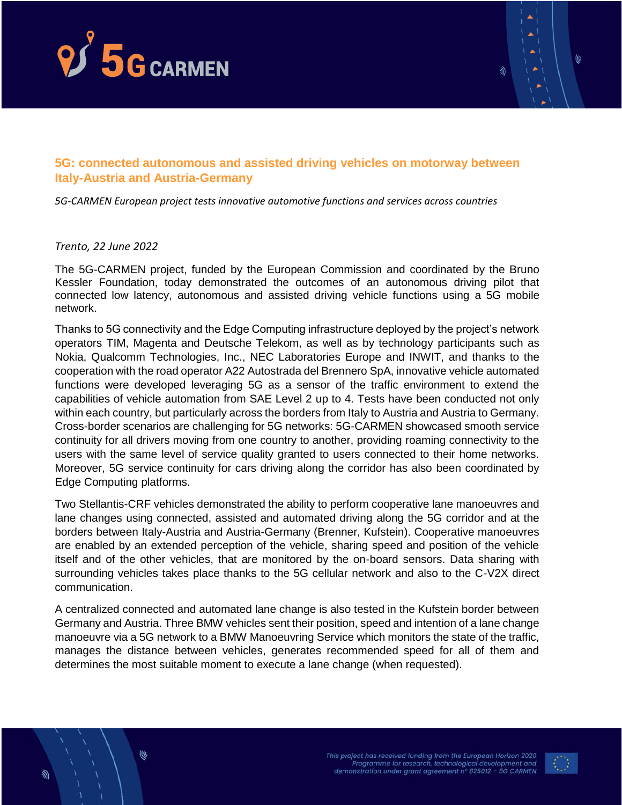



## **5G: connected autonomous and assisted driving vehicles on motorway between Italy-Austria and Austria-Germany**

*5G-CARMEN European project tests innovative automotive functions and services across countries*

## *Trento, 22 June 2022*

The 5G-CARMEN project, funded by the European Commission and coordinated by the Bruno Kessler Foundation, today demonstrated the outcomes of an autonomous driving pilot that connected low latency, autonomous and assisted driving vehicle functions using a 5G mobile network.

Thanks to 5G connectivity and the Edge Computing infrastructure deployed by the project's network operators TIM, Magenta and Deutsche Telekom, as well as by technology participants such as Nokia, Qualcomm Technologies, Inc., NEC Laboratories Europe and INWIT, and thanks to the cooperation with the road operator A22 Autostrada del Brennero SpA, innovative vehicle automated functions were developed leveraging 5G as a sensor of the traffic environment to extend the capabilities of vehicle automation from SAE Level 2 up to 4. Tests have been conducted not only within each country, but particularly across the borders from Italy to Austria and Austria to Germany. Cross-border scenarios are challenging for 5G networks: 5G-CARMEN showcased smooth service continuity for all drivers moving from one country to another, providing roaming connectivity to the users with the same level of service quality granted to users connected to their home networks. Moreover, 5G service continuity for cars driving along the corridor has also been coordinated by Edge Computing platforms.

Two Stellantis-CRF vehicles demonstrated the ability to perform cooperative lane manoeuvres and lane changes using connected, assisted and automated driving along the 5G corridor and at the borders between Italy-Austria and Austria-Germany (Brenner, Kufstein). Cooperative manoeuvres are enabled by an extended perception of the vehicle, sharing speed and position of the vehicle itself and of the other vehicles, that are monitored by the on-board sensors. Data sharing with surrounding vehicles takes place thanks to the 5G cellular network and also to the C-V2X direct communication.

A centralized connected and automated lane change is also tested in the Kufstein border between Germany and Austria. Three BMW vehicles sent their position, speed and intention of a lane change manoeuvre via a 5G network to a BMW Manoeuvring Service which monitors the state of the traffic, manages the distance between vehicles, generates recommended speed for all of them and determines the most suitable moment to execute a lane change (when requested).



⋓